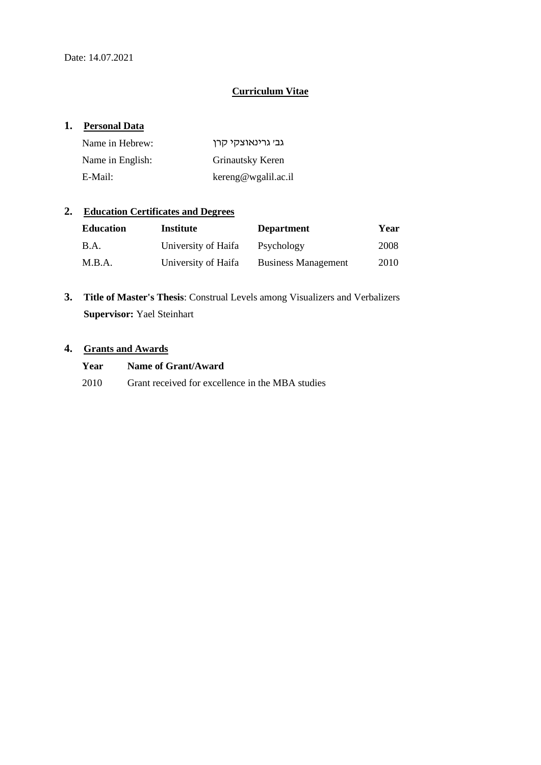## **Curriculum Vitae**

## **1. Personal Data**

| Name in Hebrew:  | גבי גרינאוצקי קרן   |
|------------------|---------------------|
| Name in English: | Grinautsky Keren    |
| E-Mail:          | kereng@wgalil.ac.il |

## **2. Education Certificates and Degrees**

| <b>Education</b> | Institute           | <b>Department</b>          | Year |
|------------------|---------------------|----------------------------|------|
| <b>B.A.</b>      | University of Haifa | Psychology                 | 2008 |
| M.B.A.           | University of Haifa | <b>Business Management</b> | 2010 |

**3. Title of Master's Thesis**: Construal Levels among Visualizers and Verbalizers **Supervisor:** Yael Steinhart

## **4. Grants and Awards**

| Year | Name of Grant/Award                              |
|------|--------------------------------------------------|
| 2010 | Grant received for excellence in the MBA studies |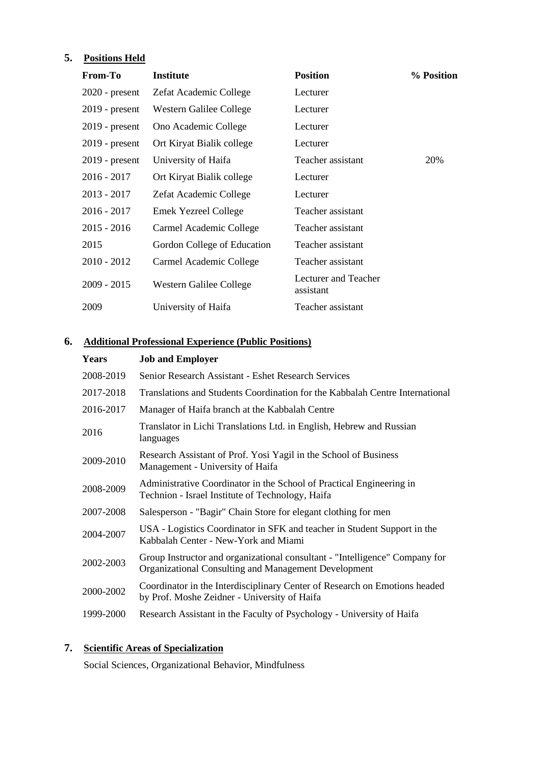# **5. Positions Held**

| <b>From-To</b>   | <b>Institute</b>            | <b>Position</b>                   | % Position |
|------------------|-----------------------------|-----------------------------------|------------|
| $2020$ - present | Zefat Academic College      | Lecturer                          |            |
| $2019$ - present | Western Galilee College     | Lecturer                          |            |
| $2019$ - present | Ono Academic College        | Lecturer                          |            |
| $2019$ - present | Ort Kiryat Bialik college   | Lecturer                          |            |
| $2019$ - present | University of Haifa         | Teacher assistant                 | 20%        |
| $2016 - 2017$    | Ort Kiryat Bialik college   | Lecturer                          |            |
| $2013 - 2017$    | Zefat Academic College      | Lecturer                          |            |
| $2016 - 2017$    | <b>Emek Yezreel College</b> | Teacher assistant                 |            |
| $2015 - 2016$    | Carmel Academic College     | Teacher assistant                 |            |
| 2015             | Gordon College of Education | Teacher assistant                 |            |
| 2010 - 2012      | Carmel Academic College     | Teacher assistant                 |            |
| $2009 - 2015$    | Western Galilee College     | Lecturer and Teacher<br>assistant |            |
| 2009             | University of Haifa         | Teacher assistant                 |            |

## **6. Additional Professional Experience (Public Positions)**

| Years     | <b>Job and Employer</b>                                                                                                             |
|-----------|-------------------------------------------------------------------------------------------------------------------------------------|
| 2008-2019 | Senior Research Assistant - Eshet Research Services                                                                                 |
| 2017-2018 | Translations and Students Coordination for the Kabbalah Centre International                                                        |
| 2016-2017 | Manager of Haifa branch at the Kabbalah Centre                                                                                      |
| 2016      | Translator in Lichi Translations Ltd. in English, Hebrew and Russian<br>languages                                                   |
| 2009-2010 | Research Assistant of Prof. Yosi Yagil in the School of Business<br>Management - University of Haifa                                |
| 2008-2009 | Administrative Coordinator in the School of Practical Engineering in<br>Technion - Israel Institute of Technology, Haifa            |
| 2007-2008 | Salesperson - "Bagir" Chain Store for elegant clothing for men                                                                      |
| 2004-2007 | USA - Logistics Coordinator in SFK and teacher in Student Support in the<br>Kabbalah Center - New-York and Miami                    |
| 2002-2003 | Group Instructor and organizational consultant - "Intelligence" Company for<br>Organizational Consulting and Management Development |
| 2000-2002 | Coordinator in the Interdisciplinary Center of Research on Emotions headed<br>by Prof. Moshe Zeidner - University of Haifa          |
| 1999-2000 | Research Assistant in the Faculty of Psychology - University of Haifa                                                               |

# **7. Scientific Areas of Specialization**

Social Sciences, Organizational Behavior, Mindfulness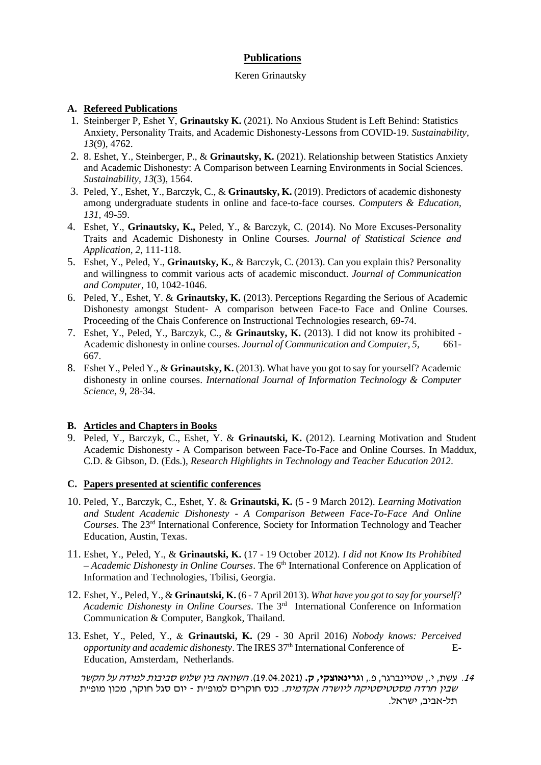## **Publications**

#### Keren Grinautsky

### **A. Refereed Publications**

- 1. Steinberger P, Eshet Y, **Grinautsky K.** (2021). No Anxious Student is Left Behind: Statistics Anxiety, Personality Traits, and Academic Dishonesty-Lessons from COVID-19. *Sustainability, 13*(9), 4762.
- 2. 8. Eshet, Y., Steinberger, P., & **Grinautsky, K.** (2021). Relationship between Statistics Anxiety and Academic Dishonesty: A Comparison between Learning Environments in Social Sciences. *Sustainability, 13*(3), 1564.
- 3. Peled, Y., Eshet, Y., Barczyk, C., & **Grinautsky, K.** (2019). Predictors of academic dishonesty among undergraduate students in online and face-to-face courses. *Computers & Education*, *131,* 49-59.
- 4. Eshet, Y., **Grinautsky, K.,** Peled, Y., & Barczyk, C. (2014). No More Excuses-Personality Traits and Academic Dishonesty in Online Courses. *Journal of Statistical Science and Application, 2,* 111-118.
- 5. Eshet, Y., Peled, Y., **Grinautsky, K.**, & Barczyk, C. (2013). Can you explain this? Personality and willingness to commit various acts of academic misconduct. *Journal of Communication and Computer*, 10, 1042-1046.
- 6. Peled, Y., Eshet, Y. & **Grinautsky, K.** (2013). Perceptions Regarding the Serious of Academic Dishonesty amongst Student- A comparison between Face-to Face and Online Courses. Proceeding of the Chais Conference on Instructional Technologies research, 69-74.
- 7. Eshet, Y., Peled, Y., Barczyk, C., & **Grinautsky, K.** (2013). I did not know its prohibited Academic dishonesty in online courses. *Journal of Communication and Computer*, 5, 661-667.
- 8. Eshet Y., Peled Y., & **Grinautsky, K.** (2013). What have you got to say for yourself? Academic dishonesty in online courses. *International Journal of Information Technology & Computer Science, 9*, 28-34.

### **B. Articles and Chapters in Books**

9. Peled, Y., Barczyk, C., Eshet, Y. & **Grinautski, K.** (2012). Learning Motivation and Student Academic Dishonesty - A Comparison between Face-To-Face and Online Courses. In Maddux, C.D. & Gibson, D. (Eds.), *Research Highlights in Technology and Teacher Education 2012*.

### **C. Papers presented at scientific conferences**

- 10. Peled, Y., Barczyk, C., Eshet, Y. & **Grinautski, K.** (5 9 March 2012). *Learning Motivation and Student Academic Dishonesty - A Comparison Between Face-To-Face And Online Courses*. The 23rd International Conference, Society for Information Technology and Teacher Education, Austin, Texas.
- 11. Eshet, Y., Peled, Y., & **Grinautski, K.** (17 19 October 2012). *I did not Know Its Prohibited – Academic Dishonesty in Online Courses*. The 6th International Conference on Application of Information and Technologies, Tbilisi, Georgia.
- 12. Eshet, Y., Peled, Y., & **Grinautski, K.** (6 7 April 2013). *What have you got to say for yourself? Academic Dishonesty in Online Courses*. The 3rd International Conference on Information Communication & Computer, Bangkok, Thailand.
- 13. Eshet, Y., Peled, Y., & **Grinautski, K.** (29 30 April 2016) *Nobody knows: Perceived opportunity and academic dishonesty*. The IRES 37<sup>th</sup> International Conference of E-Education, Amsterdam, Netherlands.

.<sup>14</sup> עשת, י,. שטיינברגר, פ,. ו**גרינאוצקי, ק.** )19.04.2021(. השוואה בין שלוש סביבות למידה על הקשר שבין חרדה מסטטיסטיקה ליושרה אקדמית. כנס חוקרים למופ"ת - יום סגל חוקר, מכון מופ"ת תל-אביב, ישראל.